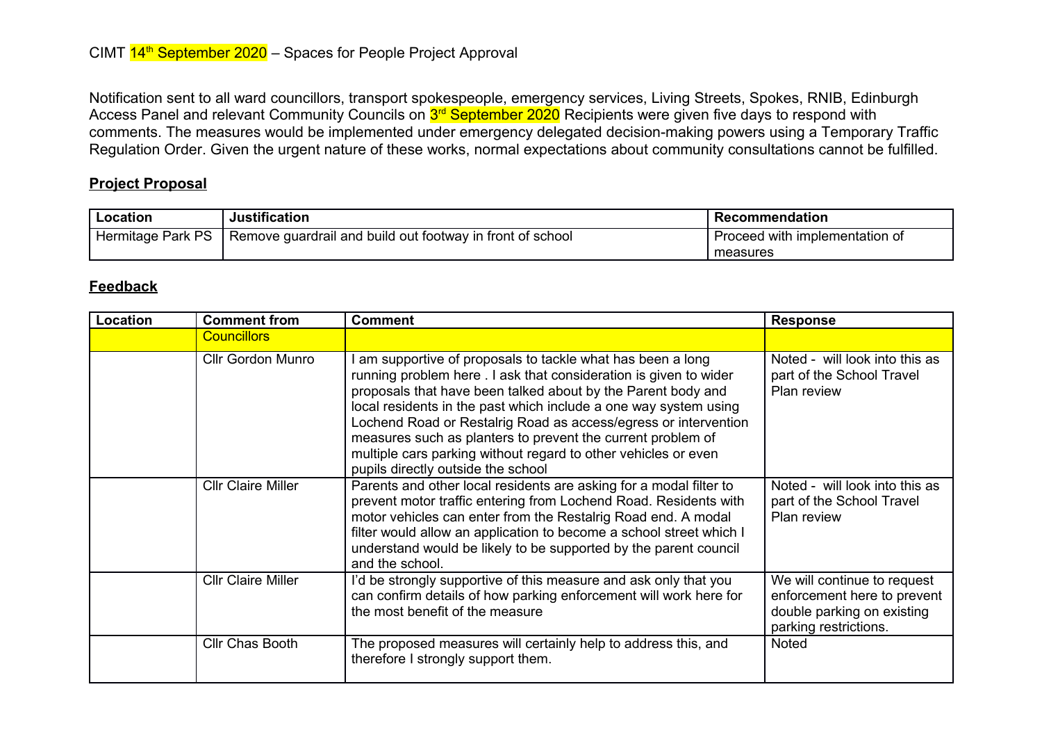Notification sent to all ward councillors, transport spokespeople, emergency services, Living Streets, Spokes, RNIB, Edinburgh Access Panel and relevant Community Councils on <mark>3<sup>rd</sup> September 2020</mark> Recipients were given five days to respond with comments. The measures would be implemented under emergency delegated decision-making powers using a Temporary Traffic Regulation Order. Given the urgent nature of these works, normal expectations about community consultations cannot be fulfilled.

## **Project Proposal**

| Location          | <b>Justification</b>                                      | Recommendation                 |
|-------------------|-----------------------------------------------------------|--------------------------------|
| Hermitage Park PS | Remove guardrail and build out footway in front of school | Proceed with implementation of |
|                   |                                                           | measures                       |

## **Feedback**

| Location | <b>Comment from</b>       | <b>Comment</b>                                                                                                                                                                                                                                                                                                                                                                                                                                                                                               | <b>Response</b>                                                                                                   |
|----------|---------------------------|--------------------------------------------------------------------------------------------------------------------------------------------------------------------------------------------------------------------------------------------------------------------------------------------------------------------------------------------------------------------------------------------------------------------------------------------------------------------------------------------------------------|-------------------------------------------------------------------------------------------------------------------|
|          | <b>Councillors</b>        |                                                                                                                                                                                                                                                                                                                                                                                                                                                                                                              |                                                                                                                   |
|          | <b>Cllr Gordon Munro</b>  | am supportive of proposals to tackle what has been a long<br>running problem here . I ask that consideration is given to wider<br>proposals that have been talked about by the Parent body and<br>local residents in the past which include a one way system using<br>Lochend Road or Restalrig Road as access/egress or intervention<br>measures such as planters to prevent the current problem of<br>multiple cars parking without regard to other vehicles or even<br>pupils directly outside the school | Noted - will look into this as<br>part of the School Travel<br>Plan review                                        |
|          | <b>Cllr Claire Miller</b> | Parents and other local residents are asking for a modal filter to<br>prevent motor traffic entering from Lochend Road. Residents with<br>motor vehicles can enter from the Restalrig Road end. A modal<br>filter would allow an application to become a school street which I<br>understand would be likely to be supported by the parent council<br>and the school.                                                                                                                                        | Noted - will look into this as<br>part of the School Travel<br>Plan review                                        |
|          | <b>Cllr Claire Miller</b> | I'd be strongly supportive of this measure and ask only that you<br>can confirm details of how parking enforcement will work here for<br>the most benefit of the measure                                                                                                                                                                                                                                                                                                                                     | We will continue to request<br>enforcement here to prevent<br>double parking on existing<br>parking restrictions. |
|          | <b>CIIr Chas Booth</b>    | The proposed measures will certainly help to address this, and<br>therefore I strongly support them.                                                                                                                                                                                                                                                                                                                                                                                                         | Noted                                                                                                             |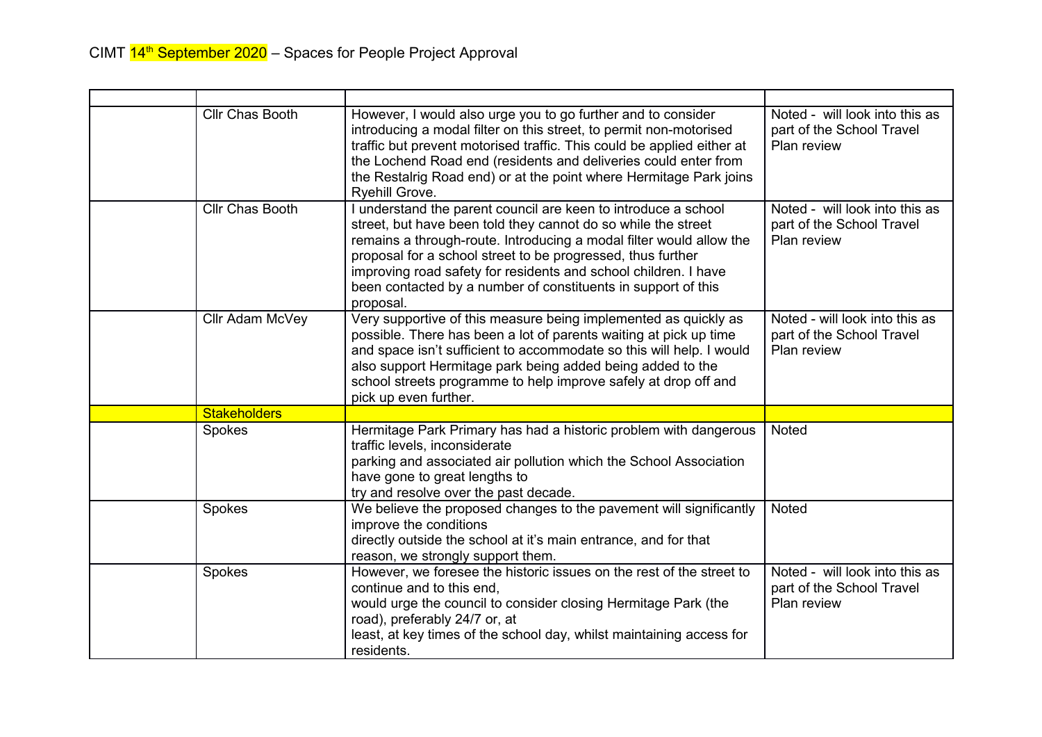| Cllr Chas Booth     | However, I would also urge you to go further and to consider<br>introducing a modal filter on this street, to permit non-motorised<br>traffic but prevent motorised traffic. This could be applied either at<br>the Lochend Road end (residents and deliveries could enter from<br>the Restalrig Road end) or at the point where Hermitage Park joins<br>Ryehill Grove.                                                | Noted - will look into this as<br>part of the School Travel<br>Plan review |
|---------------------|------------------------------------------------------------------------------------------------------------------------------------------------------------------------------------------------------------------------------------------------------------------------------------------------------------------------------------------------------------------------------------------------------------------------|----------------------------------------------------------------------------|
| Cllr Chas Booth     | I understand the parent council are keen to introduce a school<br>street, but have been told they cannot do so while the street<br>remains a through-route. Introducing a modal filter would allow the<br>proposal for a school street to be progressed, thus further<br>improving road safety for residents and school children. I have<br>been contacted by a number of constituents in support of this<br>proposal. | Noted - will look into this as<br>part of the School Travel<br>Plan review |
| Cllr Adam McVey     | Very supportive of this measure being implemented as quickly as<br>possible. There has been a lot of parents waiting at pick up time<br>and space isn't sufficient to accommodate so this will help. I would<br>also support Hermitage park being added being added to the<br>school streets programme to help improve safely at drop off and<br>pick up even further.                                                 | Noted - will look into this as<br>part of the School Travel<br>Plan review |
| <b>Stakeholders</b> |                                                                                                                                                                                                                                                                                                                                                                                                                        |                                                                            |
| Spokes              | Hermitage Park Primary has had a historic problem with dangerous<br>traffic levels, inconsiderate<br>parking and associated air pollution which the School Association<br>have gone to great lengths to<br>try and resolve over the past decade.                                                                                                                                                                       | <b>Noted</b>                                                               |
| Spokes              | We believe the proposed changes to the pavement will significantly<br>improve the conditions<br>directly outside the school at it's main entrance, and for that<br>reason, we strongly support them.                                                                                                                                                                                                                   | Noted                                                                      |
| Spokes              | However, we foresee the historic issues on the rest of the street to<br>continue and to this end.<br>would urge the council to consider closing Hermitage Park (the<br>road), preferably 24/7 or, at<br>least, at key times of the school day, whilst maintaining access for<br>residents.                                                                                                                             | Noted - will look into this as<br>part of the School Travel<br>Plan review |